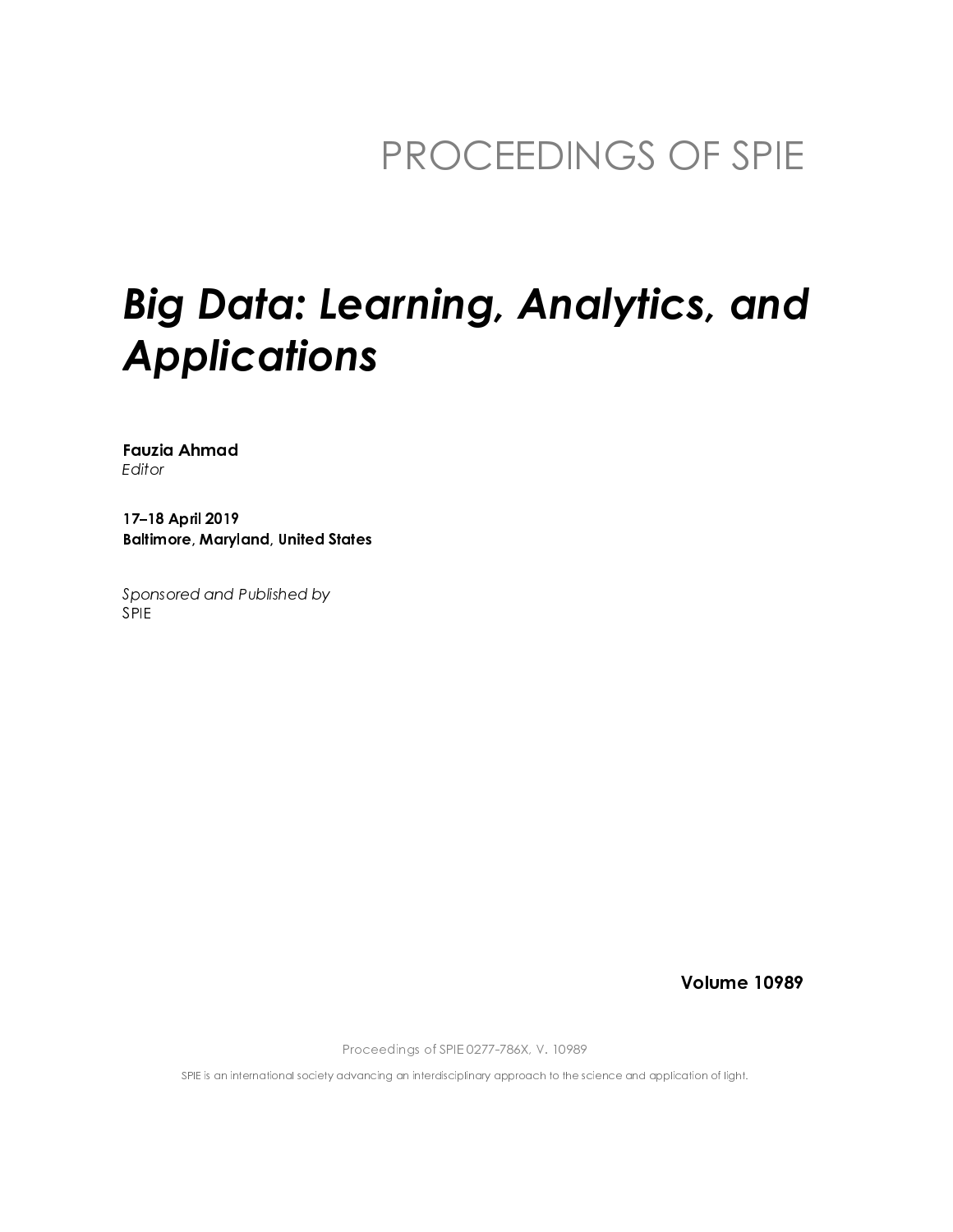## PROCEEDINGS OF SPIE

# **Big Data: Learning, Analytics, and Applications**

**Fauzia Ahmad** Editor

17-18 April 2019 **Baltimore, Maryland, United States** 

Sponsored and Published by **SPIE** 

**Volume 10989** 

Proceedings of SPIE 0277-786X, V. 10989

SPIE is an international society advancing an interdisciplinary approach to the science and application of light.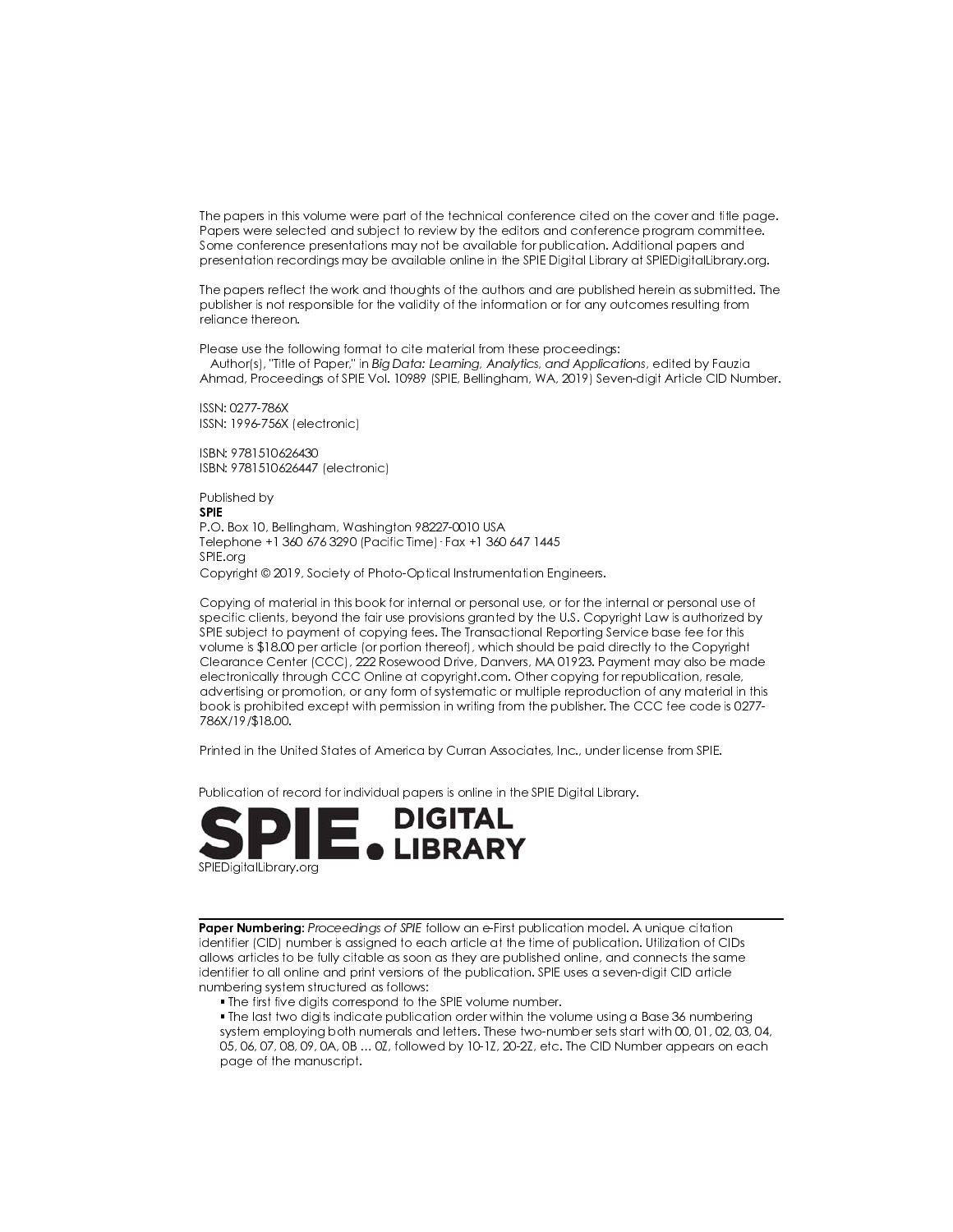The papers in this volume were part of the technical conference cited on the cover and title page. Papers were selected and subject to review by the editors and conference program committee. Some conference presentations may not be available for publication. Additional papers and presentation recordings may be available online in the SPIE Digital Library at SPIEDigital Library.org.

The papers reflect the work and thoughts of the authors and are published herein as submitted. The publisher is not responsible for the validity of the information or for any outcomes resulting from reliance thereon.

Please use the following format to cite material from these proceedings: Author(s), 'Title of Paper," in Big Data: Learning, Analytics, and Applications, edited by Fauzia Ahmad, Proceedings of SPIE Vol. 10989 (SPIE, Bellingham, WA, 2019) Seven-digit Article CID Number.

ISSN: 0277-786X ISSN: 1996-756X (electronic)

ISBN: 9781510626430 ISBN: 9781510626447 (electronic)

Published by **SPIE** P.O. Box 10, Bellingham, Washington 98227-0010 USA Telephone +1 360 676 3290 (Pacific Time) · Fax +1 360 647 1445 SPIE.ora Copyright © 2019, Society of Photo-Optical Instrumentation Engineers.

Copying of material in this book for internal or personal use, or for the internal or personal use of specific clients, beyond the fair use provisions granted by the U.S. Copyright Law is authorized by SPIE subject to payment of copying fees. The Transactional Reporting Service base fee for this volume is \$18.00 per article (or portion thereof), which should be paid directly to the Copyright Clearance Center (CCC), 222 Rosewood Drive, Danvers, MA 01923. Payment may also be made electronically through CCC Online at copyright.com. Other copying for republication, resale, advertising or promotion, or any form of systematic or multiple reproduction of any material in this book is prohibited except with permission in writing from the publisher. The CCC fee code is 0277-786X/19/\$18.00.

Printed in the United States of America by Curran Associates, Inc., under license from SPIE.

Publication of record for individual papers is online in the SPIE Digital Library.



Paper Numbering: Proceedings of SPIE follow an e-First publication model. A unique citation identifier (CID) number is assigned to each article at the time of publication. Utilization of CIDs allows articles to be fully citable as soon as they are published online, and connects the same identifier to all online and print versions of the publication. SPIE uses a seven-digit CID article numbering system structured as follows:

. The first five digits correspond to the SPIE volume number.

. The last two digits indicate publication order within the volume using a Base 36 numbering system emploving both numerals and letters. These two-number sets start with 00, 01, 02, 03, 04, 05, 06, 07, 08, 09, 0A, 0B ... 0Z, followed by 10-1Z, 20-2Z, etc. The CID Number appears on each page of the manuscript.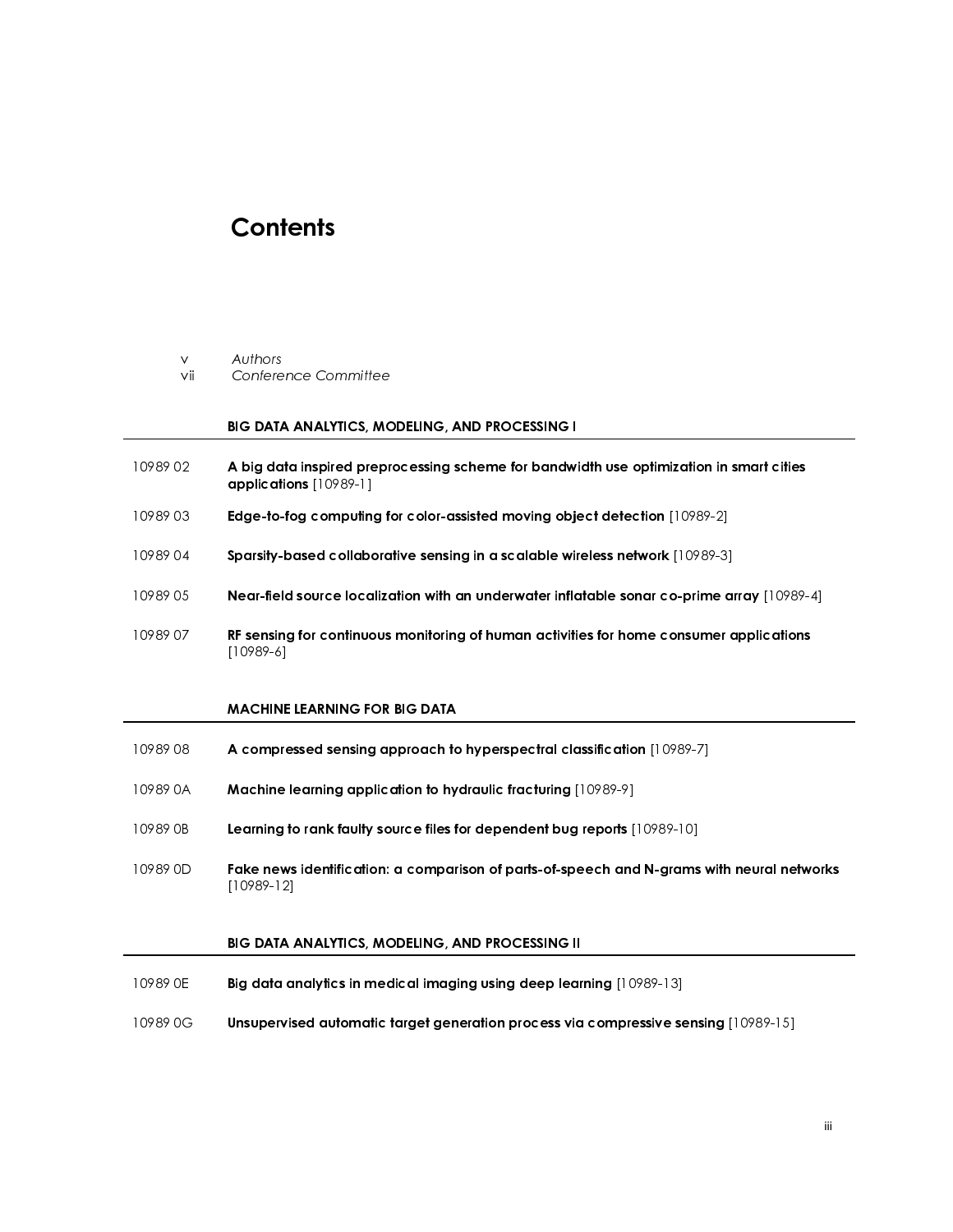### **Contents**

 $\vee$ 

 

 

#### BIG DATA ANALYTICS, MODELING, AND PROCESSING I

- 
- 
- 
- 
- vii Confere<br> **BIG DATA**<br>
10989 02 **A big da<br>
applicati**<br>
10989 03 **Edge-to-**<br>
10989 04 **Sparsity-**<br>
10989 05 **Near-fiel<br>
10989 07 RF sensin<br>
[10989-6]<br>
<b>MACHIN** BIG DATA ANALYTICS, MO<br>
10989 02<br>
A big data inspired prepro<br>
applications [10989-1]<br>
10989 03<br>
Edge-to-fog computing for<br>
10989 04<br>
Near-field source localize<br>
10989 05<br>
RF sensing for continuous<br>
[10989-6]<br>
MACHINE LEARN A big data inspired preprocessing scheme for bandwidth use optimization in smart cities<br>
applications [10989-1]<br>
Edge-to-fog computing for color-assisted moving object detection [10989-2]<br>
10989 04<br>
Sparsity-based collabor applications [10989-1]<br>Edge-to-fog computing<br>Sparsity-based collabo<br>Near-field source loca<br>RF sensing for continuo<br>[10989-6]<br>MACHINE LEARNING FO<br>A compressed sensing<br>Machine learning appl<br>Learning to rank faulty<br>Fake news

#### MACHINE LEARNING FOR BIG DATA

- 
- 
- 
- Edge-to-fog computing for color-assisted moving object detection [10989-2]<br>
10989 04 Sparsity-based collaborative sensing in a scalable wireless network [10989-3]<br>
10989 05 Near-field source localization with an underwater 10989 04 Sparsity-based collaborative sensing in a scalable wireless network [10989-3]<br>
10989 05 Near-field source localization with an underwater inflatable sonar co-prime at<br>
10989 07 RF sensing for continuous monitoring 10989 05 Near-field source localization with an underwater inflatable sonar co-prime array [10989-4]<br>
RF sensing for continuous monitoring of human activities for home consumer applications<br>
[10989-6]<br>
MACHINE LEARNING FOR 10989 07 **RF sensing for continuous monitoring of human activities for home consumer applications**<br>
10989-6<br> **MACHINE LEARNING FOR BIG DATA**<br> **A compressed sensing approach to hyperspectral classification** [10989-7]<br> **MAC** MACHINE<br>A compre<br>Machine<br>Learning <del>|</del><br>Fake new<br>|10989-12<br>BIG DATA<br>|Big data c 10989 08 A compressed sensing approach to hyperspectral classification [10989-7]<br>
10989 08 Machine learning application to hydraulic fracturing [10989-9]<br>
10989 0B Learning to rank faulty source files for dependent bug rep Machine learning application to hydraulic fracturing [10989-9]<br>10989 0B Learning to rank faulty source files for dependent bug reports [<br>10989 0D Fake news identification: a comparison of parts-of-speech and<br>10989 0E Big d 10989 0B Learning to rank faulty source files for dependent bug reports [10989-10]<br>
10989 0D Fake news identification: a comparison of parts-of-speech and N-grams<br>
10989-12]<br>
BIG DATA ANALYTICS, MODELING, AND PROCESSING II 10989 0D Fake news identification: a comparison of parts-of-speech and N-grams with neural networks<br>
10989-12|<br>
BIG DATA ANALYTICS, MODELING, AND PROCESSING II<br>
10989 0E Big data analytics in medical imaging using deep lea

#### BIG DATA ANALYTICS, MODELING, AND PROCESSING II

- BIG DATA A<br>BIG DATA A<br>Unsupervis 10989 0E Big data analytics in medical imaging using deep learning [10989-13]<br>10989 0G Unsupervised automatic target generation process via compressive se<br>10989 0G Unsupervised automatic target generation process via compr
- 10989 0G Unsupervised automatic target generation process via compressive sensing [10989-15]